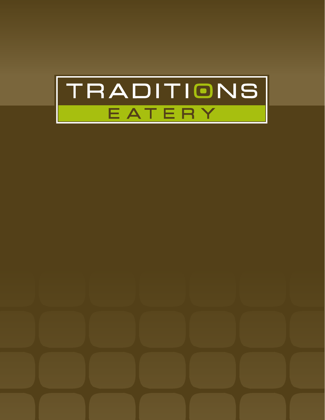

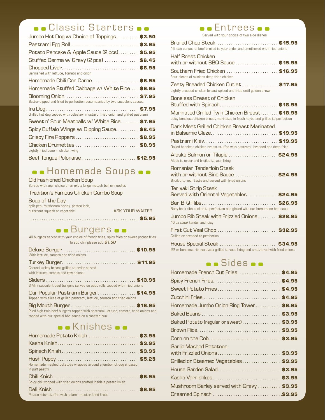# **.** Classic Starters ..

| Jumbo Hot Dog w/ Choice of Toppings \$3.50                                      |  |
|---------------------------------------------------------------------------------|--|
|                                                                                 |  |
| Potato Pancake & Apple Sauce (2 pcs) \$5.95                                     |  |
| Stuffed Derma w/ Gravy (2 pcs)  \$6.45                                          |  |
| Garnished with lettuce, tomato and onion                                        |  |
| Homemade Chili Con Carne \$6.95                                                 |  |
| Homemade Stuffed Cabbage w/ White Rice  \$6.95                                  |  |
| Batter dipped and fried to perfection accompanied by two succulent sauces       |  |
| Grilled hot dog topped with coleslaw, mustard, fried onion and grilled pastrami |  |
| Sweet n' Sour Meatballs w/ White Rice \$7.95                                    |  |
| Spicy Buffalo Wings w/ Dipping Sauce \$8.45                                     |  |
| Crispy Fire Poppers \$8.95                                                      |  |
| Chicken Drumettes  \$8.95<br>Lightly fried bone in chicken wing                 |  |
| Beef Tongue Polonaise  \$12.95                                                  |  |

# $\bullet$  Homemade Soups  $\bullet$

### Old Fashioned Chicken Soup

Served with your choice of an extra large matzoh ball or noodles

### Tradition's Famous Chicken Gumbo Soup

### Soup of the Day

| butternut squash or vegetable            | ASK YOUR WAITER |
|------------------------------------------|-----------------|
| split pea, mushroom barley, potato leek, |                 |

**o** Burgers **o** 

| All burgers served with your choice of french fries, spicy fries or sweet potato fries<br>To add chili please add \$1.50 |
|--------------------------------------------------------------------------------------------------------------------------|
| With lettuce, tomato and fried onions                                                                                    |
| Ground turkey breast grilled to order served<br>with lettuce, tomato and raw onions                                      |
| 3 Mini succulent beef burgers served on petit rolls topped with fried onions                                             |
| Our Popular Pastrami Burger \$14.95<br>Topped with slices of grilled pastrami, lettuce, tomato and fried onions          |

Big Mouth Burger . . . . . . . . . . . . . . . . . . . . . . . . . . . . . **\$16.95** Piled high twin beef burgers topped with pastrami, lettuce, tomato, fried onions and topped with our special bbq sauce on a toasted bun

## **o**.Knishes.

| Homemade Potato Knish  \$3.95                                                     |  |
|-----------------------------------------------------------------------------------|--|
|                                                                                   |  |
|                                                                                   |  |
| Homemade mashed potatoes wrapped around a jumbo hot dog encased<br>in puff pastry |  |
| Spicy chili topped with fried onions stuffed inside a potato knish                |  |
| Potato knish stuffed with salami, mustard and kraut                               |  |



| Broiled Chop Steak \$15.95<br>16 lean ounces of beef broiled to your order and smothered with fried onions                        |
|-----------------------------------------------------------------------------------------------------------------------------------|
| <b>Half Roast Chicken</b><br>with or without BBQ Sauce \$15.95                                                                    |
| Southern Fried Chicken  \$16.95<br>Four pieces of skinless deep fried chicken                                                     |
| Zesty Breaded Chicken Cutlet  \$17.95<br>Lightly breaded chicken breast spiced and fried until golden brown                       |
| Boneless Breast of Chicken<br>Stuffed with Spinach \$18.95                                                                        |
| Marinated Grilled Twin Chicken Breast \$18.95<br>Juicy boneless chicken breast marinated in fresh herbs and grilled to perfection |
| Dark Meat, Grilled Chicken Breast, Marinated<br>in Balsamic Glaze \$19.95                                                         |
| Rolled boneless chicken breast stuffed with pastrami, breaded and deep fried                                                      |
| Alaska Salmon or Tilapia  \$24.95<br>Made to order and broiled to your liking                                                     |
| Romanian Tenderloin Steak<br>with or without Sino Sauce  \$24.95<br>Broiled to your taste and served with fried onions            |
| Teriyaki Strip Steak<br>Served with Oriental Vegetables \$24.95                                                                   |
| Baby back ribs cooked to perfection and glazed with our homemade bbq sauce                                                        |
| Jumbo Rib Steak with Frizzled Onions \$28.95<br>16 oz steak tender and juicy                                                      |
| First Cut Veal Chop  \$32.95<br>Grilled or breaded to perfection                                                                  |
| 22 oz boneless rib eye steak grilled to your liking and smothered with fried onions                                               |

# **.** Sides ..

| Homemade French Cut Fries  \$4.95                            |  |
|--------------------------------------------------------------|--|
|                                                              |  |
| Sweet Potato Fries \$4.95                                    |  |
|                                                              |  |
| Homemade Jumbo Onion Ring Tower \$6.95                       |  |
|                                                              |  |
| Baked Potato (regular or sweet) \$3.95                       |  |
|                                                              |  |
|                                                              |  |
| <b>Garlic Mashed Potatoes</b><br>with Frizzled Onions \$3.95 |  |
| Grilled or Steamed Vegetables \$3.95                         |  |
|                                                              |  |
| Kasha Varnishkes \$3.95                                      |  |
| Mushroom Barley served with Gravy  \$3.95                    |  |
|                                                              |  |
|                                                              |  |